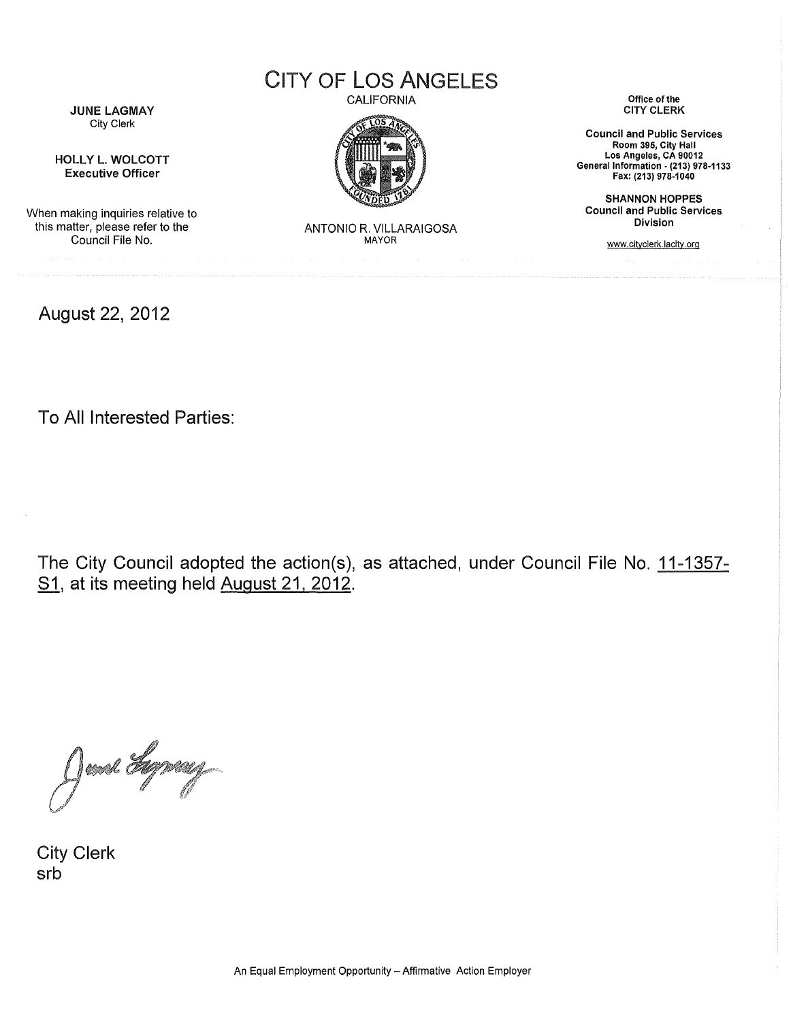CITY OF LOS ANGELES

CALIFORNIA



JUNE LAGMAY City Clerk

HOLLY L. WOLCOTT Executive Officer

When making inquiries relative to this matter, please refer to the Council File No.

August 22, 2012

ANTONIO R. VILLARAIGOSA **MAYOR** 

Office of the CITY CLERK

Council and Public Services Room 395, City Hall Los Angeles, CA 90012 General Information • (213) 978-1133 Fax: (213) 978-1040

SHANNON HOPPES Council and Public Services Division

www.cityclerk.lacitv.org

To All Interested Parties:

The City Council adopted the action(s), as attached, under Council File No. 11-1357- S1, at its meeting held August 21, 2012.

June Lyneug

City Clerk srb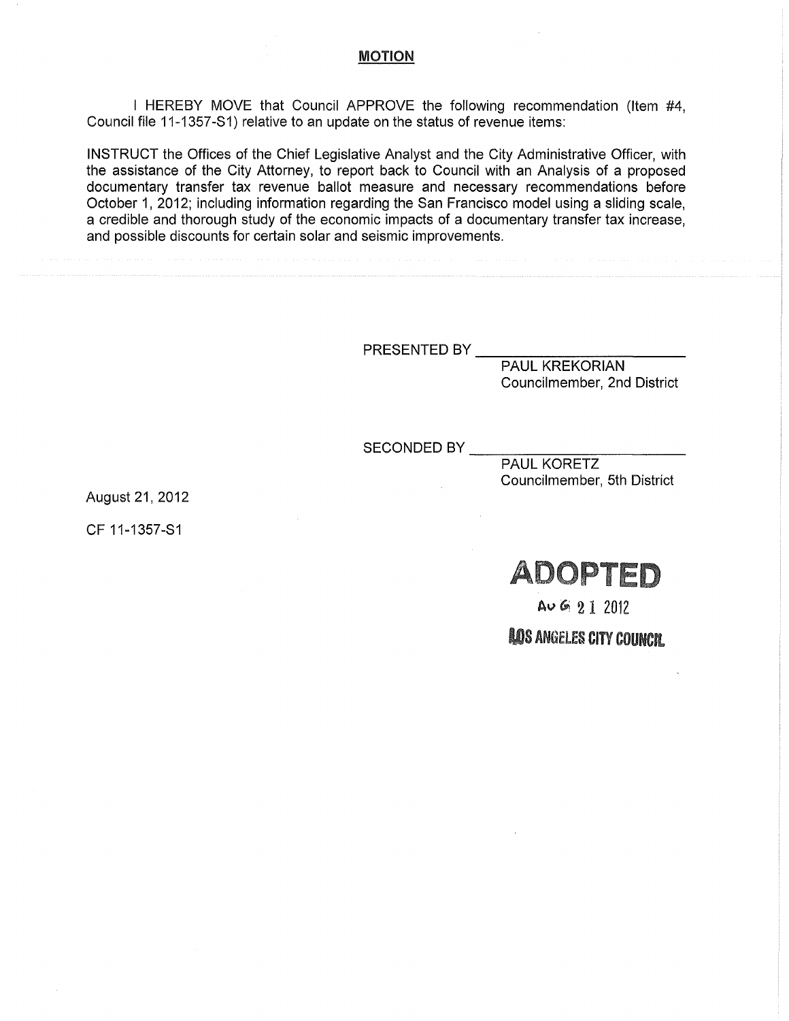## MOTION

I HEREBY MOVE that Council APPROVE the following recommendation (Item #4, Council file 11-1357-S1) relative to an update on the status of revenue items:

INSTRUCT the Offices of the Chief Legislative Analyst and the City Administrative Officer, with the assistance of the City Attorney, to report back to Council with an Analysis of a proposed documentary transfer tax revenue ballot measure and necessary recommendations before October 1, 2012; including information regarding the San Francisco model using a sliding scale, a credible and thorough study of the economic impacts of a documentary transfer tax increase, and possible discounts for certain solar and seismic improvements.

PRESENTED BY

PAUL KREKORIAN Councilmember, 2nd District

SECONDED BY

PAUL KORETZ Councilmember, 5th District

August21, 2012

CF 11-1357-S1

ADOPTED

 $A \cup G$  2 1 2012

**AOS ANGELES CITY COUNCIL**